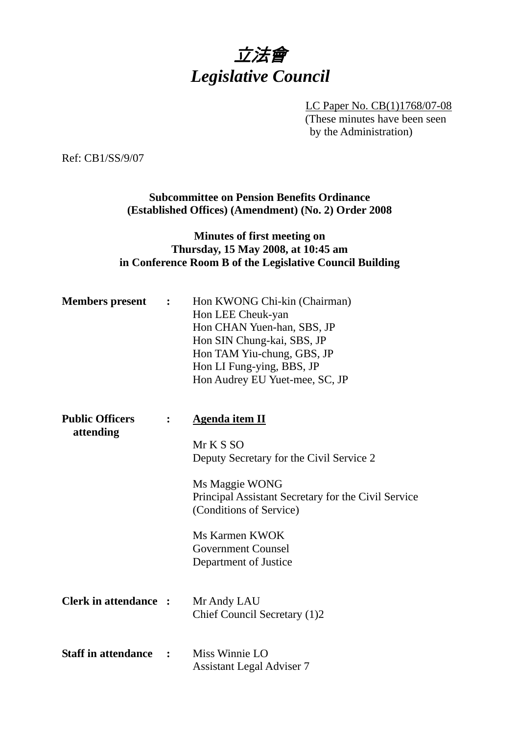

LC Paper No. CB(1)1768/07-08 (These minutes have been seen by the Administration)

Ref: CB1/SS/9/07

**Subcommittee on Pension Benefits Ordinance (Established Offices) (Amendment) (No. 2) Order 2008**

# **Minutes of first meeting on Thursday, 15 May 2008, at 10:45 am in Conference Room B of the Legislative Council Building**

| <b>Members</b> present              | $\ddot{\cdot}$ | Hon KWONG Chi-kin (Chairman)<br>Hon LEE Cheuk-yan<br>Hon CHAN Yuen-han, SBS, JP<br>Hon SIN Chung-kai, SBS, JP<br>Hon TAM Yiu-chung, GBS, JP<br>Hon LI Fung-ying, BBS, JP<br>Hon Audrey EU Yuet-mee, SC, JP                                          |
|-------------------------------------|----------------|-----------------------------------------------------------------------------------------------------------------------------------------------------------------------------------------------------------------------------------------------------|
| <b>Public Officers</b><br>attending | $\ddot{\cdot}$ | Agenda item II<br>Mr K S SO<br>Deputy Secretary for the Civil Service 2<br>Ms Maggie WONG<br>Principal Assistant Secretary for the Civil Service<br>(Conditions of Service)<br>Ms Karmen KWOK<br><b>Government Counsel</b><br>Department of Justice |
| <b>Clerk in attendance :</b>        |                | Mr Andy LAU<br>Chief Council Secretary (1)2                                                                                                                                                                                                         |
| <b>Staff in attendance</b>          |                | Miss Winnie LO<br><b>Assistant Legal Adviser 7</b>                                                                                                                                                                                                  |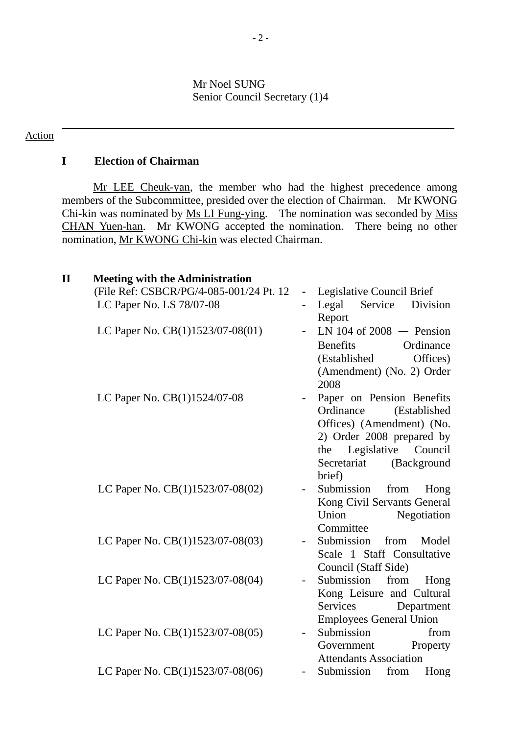#### Mr Noel SUNG Senior Council Secretary (1)4

#### Action

## **I Election of Chairman**

Mr LEE Cheuk-yan, the member who had the highest precedence among members of the Subcommittee, presided over the election of Chairman. Mr KWONG Chi-kin was nominated by Ms LI Fung-ying. The nomination was seconded by Miss CHAN Yuen-han. Mr KWONG accepted the nomination. There being no other nomination, Mr KWONG Chi-kin was elected Chairman.

| $\mathbf H$ | <b>Meeting with the Administration</b>  |                                                           |
|-------------|-----------------------------------------|-----------------------------------------------------------|
|             | (File Ref: CSBCR/PG/4-085-001/24 Pt. 12 | Legislative Council Brief                                 |
|             | LC Paper No. LS 78/07-08                | Legal<br>Service<br>Division<br>Report                    |
|             | LC Paper No. CB(1)1523/07-08(01)        | LN 104 of 2008 $-$ Pension                                |
|             |                                         | <b>Benefits</b><br>Ordinance                              |
|             |                                         | Offices)<br>(Established)                                 |
|             |                                         | (Amendment) (No. 2) Order<br>2008                         |
|             | LC Paper No. CB(1)1524/07-08            | Paper on Pension Benefits                                 |
|             |                                         | Ordinance<br>(Established                                 |
|             |                                         | Offices) (Amendment) (No.                                 |
|             |                                         | 2) Order 2008 prepared by                                 |
|             |                                         | Legislative Council<br>the                                |
|             |                                         | Secretariat<br>(Background                                |
|             |                                         | brief)                                                    |
|             | LC Paper No. CB(1)1523/07-08(02)        | Submission<br>from<br>Hong<br>Kong Civil Servants General |
|             |                                         | Union<br>Negotiation                                      |
|             |                                         | Committee                                                 |
|             | LC Paper No. CB(1)1523/07-08(03)        | Submission<br>from<br>Model                               |
|             |                                         | Scale 1 Staff Consultative                                |
|             |                                         | Council (Staff Side)                                      |
|             | LC Paper No. CB(1)1523/07-08(04)        | Submission<br>from<br>Hong                                |
|             |                                         | Kong Leisure and Cultural                                 |
|             |                                         | Services<br>Department                                    |
|             |                                         | <b>Employees General Union</b>                            |
|             | LC Paper No. CB(1)1523/07-08(05)        | Submission<br>from                                        |
|             |                                         | Property<br>Government                                    |
|             |                                         | <b>Attendants Association</b>                             |
|             | LC Paper No. CB(1)1523/07-08(06)        | Submission<br>from<br>Hong                                |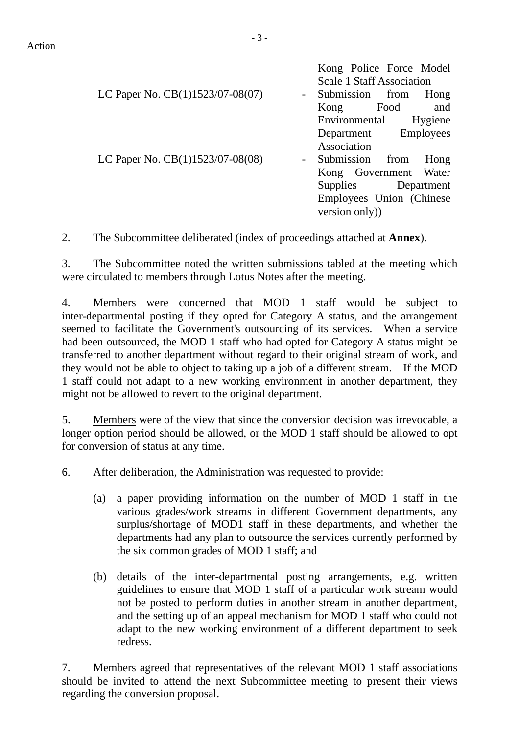Action

Association LC Paper No.  $CB(1)1523/07-08(08)$  - Submission from Hong Kong Government Water Supplies Department Employees Union (Chinese version only))

2. The Subcommittee deliberated (index of proceedings attached at **Annex**).

3. The Subcommittee noted the written submissions tabled at the meeting which were circulated to members through Lotus Notes after the meeting.

4. Members were concerned that MOD 1 staff would be subject to inter-departmental posting if they opted for Category A status, and the arrangement seemed to facilitate the Government's outsourcing of its services. When a service had been outsourced, the MOD 1 staff who had opted for Category A status might be transferred to another department without regard to their original stream of work, and they would not be able to object to taking up a job of a different stream. If the MOD 1 staff could not adapt to a new working environment in another department, they might not be allowed to revert to the original department.

5. Members were of the view that since the conversion decision was irrevocable, a longer option period should be allowed, or the MOD 1 staff should be allowed to opt for conversion of status at any time.

6. After deliberation, the Administration was requested to provide:

- (a) a paper providing information on the number of MOD 1 staff in the various grades/work streams in different Government departments, any surplus/shortage of MOD1 staff in these departments, and whether the departments had any plan to outsource the services currently performed by the six common grades of MOD 1 staff; and
- (b) details of the inter-departmental posting arrangements, e.g. written guidelines to ensure that MOD 1 staff of a particular work stream would not be posted to perform duties in another stream in another department, and the setting up of an appeal mechanism for MOD 1 staff who could not adapt to the new working environment of a different department to seek redress.

7. Members agreed that representatives of the relevant MOD 1 staff associations should be invited to attend the next Subcommittee meeting to present their views regarding the conversion proposal.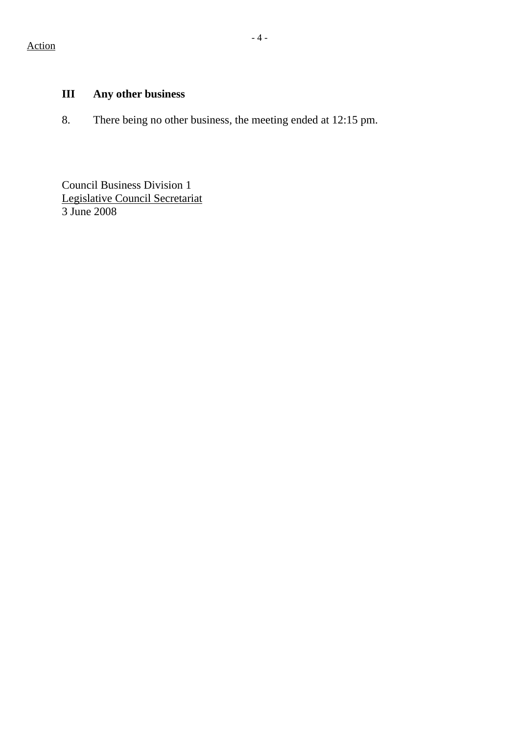# **III Any other business**

8. There being no other business, the meeting ended at 12:15 pm.

Council Business Division 1 Legislative Council Secretariat 3 June 2008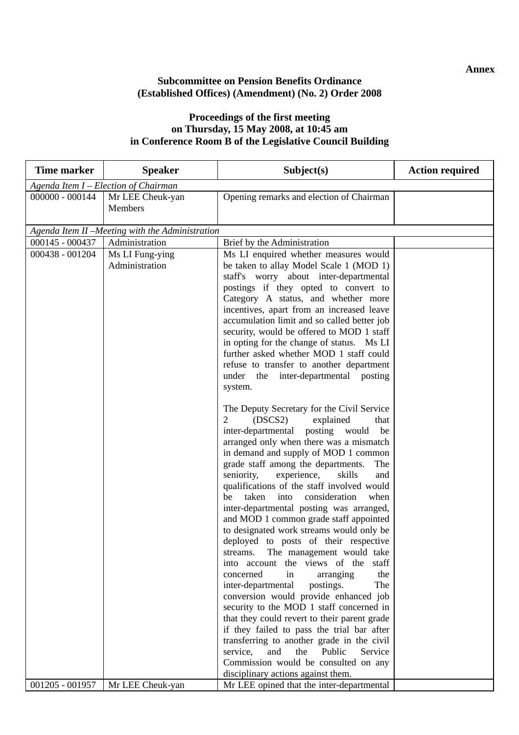## **Subcommittee on Pension Benefits Ordinance (Established Offices) (Amendment) (No. 2) Order 2008**

#### **Proceedings of the first meeting on Thursday, 15 May 2008, at 10:45 am in Conference Room B of the Legislative Council Building**

| <b>Time marker</b>                   | <b>Speaker</b>                                                                        | Subject(s)                                                                                                                                                                                                                                                                                                                                                                                                                                                                                                                                                                                                                                                                                                                                                                                                                                                                                                                                                                                                                                                                                                                                                                                                                                                                                                                                                                                                                                                                                     | <b>Action required</b> |  |  |
|--------------------------------------|---------------------------------------------------------------------------------------|------------------------------------------------------------------------------------------------------------------------------------------------------------------------------------------------------------------------------------------------------------------------------------------------------------------------------------------------------------------------------------------------------------------------------------------------------------------------------------------------------------------------------------------------------------------------------------------------------------------------------------------------------------------------------------------------------------------------------------------------------------------------------------------------------------------------------------------------------------------------------------------------------------------------------------------------------------------------------------------------------------------------------------------------------------------------------------------------------------------------------------------------------------------------------------------------------------------------------------------------------------------------------------------------------------------------------------------------------------------------------------------------------------------------------------------------------------------------------------------------|------------------------|--|--|
| Agenda Item I - Election of Chairman |                                                                                       |                                                                                                                                                                                                                                                                                                                                                                                                                                                                                                                                                                                                                                                                                                                                                                                                                                                                                                                                                                                                                                                                                                                                                                                                                                                                                                                                                                                                                                                                                                |                        |  |  |
| 000000 - 000144                      | Mr LEE Cheuk-yan<br>Members                                                           | Opening remarks and election of Chairman                                                                                                                                                                                                                                                                                                                                                                                                                                                                                                                                                                                                                                                                                                                                                                                                                                                                                                                                                                                                                                                                                                                                                                                                                                                                                                                                                                                                                                                       |                        |  |  |
|                                      |                                                                                       |                                                                                                                                                                                                                                                                                                                                                                                                                                                                                                                                                                                                                                                                                                                                                                                                                                                                                                                                                                                                                                                                                                                                                                                                                                                                                                                                                                                                                                                                                                |                        |  |  |
| 000145 - 000437                      | Administration                                                                        | Brief by the Administration                                                                                                                                                                                                                                                                                                                                                                                                                                                                                                                                                                                                                                                                                                                                                                                                                                                                                                                                                                                                                                                                                                                                                                                                                                                                                                                                                                                                                                                                    |                        |  |  |
| 000438 - 001204                      | Agenda Item II - Meeting with the Administration<br>Ms LI Fung-ying<br>Administration | Ms LI enquired whether measures would<br>be taken to allay Model Scale 1 (MOD 1)<br>staff's worry about inter-departmental<br>postings if they opted to convert to<br>Category A status, and whether more<br>incentives, apart from an increased leave<br>accumulation limit and so called better job<br>security, would be offered to MOD 1 staff<br>in opting for the change of status. Ms LI<br>further asked whether MOD 1 staff could<br>refuse to transfer to another department<br>under the inter-departmental posting<br>system.<br>The Deputy Secretary for the Civil Service<br>$\overline{2}$<br>(DSCS2)<br>explained<br>that<br>inter-departmental posting would<br>be<br>arranged only when there was a mismatch<br>in demand and supply of MOD 1 common<br>grade staff among the departments.<br>The<br>experience,<br>seniority,<br>skills<br>and<br>qualifications of the staff involved would<br>taken<br>consideration<br>when<br>be<br>into<br>inter-departmental posting was arranged,<br>and MOD 1 common grade staff appointed<br>to designated work streams would only be<br>deployed to posts of their respective<br>streams. The management would take<br>into account the views of the<br>staff<br>concerned<br>the<br>in<br>arranging<br>The<br>inter-departmental<br>postings.<br>conversion would provide enhanced job<br>security to the MOD 1 staff concerned in<br>that they could revert to their parent grade<br>if they failed to pass the trial bar after |                        |  |  |
|                                      |                                                                                       | transferring to another grade in the civil                                                                                                                                                                                                                                                                                                                                                                                                                                                                                                                                                                                                                                                                                                                                                                                                                                                                                                                                                                                                                                                                                                                                                                                                                                                                                                                                                                                                                                                     |                        |  |  |
|                                      |                                                                                       | service,<br>and<br>Public<br>the<br>Service<br>Commission would be consulted on any                                                                                                                                                                                                                                                                                                                                                                                                                                                                                                                                                                                                                                                                                                                                                                                                                                                                                                                                                                                                                                                                                                                                                                                                                                                                                                                                                                                                            |                        |  |  |
|                                      |                                                                                       | disciplinary actions against them.                                                                                                                                                                                                                                                                                                                                                                                                                                                                                                                                                                                                                                                                                                                                                                                                                                                                                                                                                                                                                                                                                                                                                                                                                                                                                                                                                                                                                                                             |                        |  |  |
| 001205 - 001957                      | Mr LEE Cheuk-yan                                                                      | Mr LEE opined that the inter-departmental                                                                                                                                                                                                                                                                                                                                                                                                                                                                                                                                                                                                                                                                                                                                                                                                                                                                                                                                                                                                                                                                                                                                                                                                                                                                                                                                                                                                                                                      |                        |  |  |

**Annex**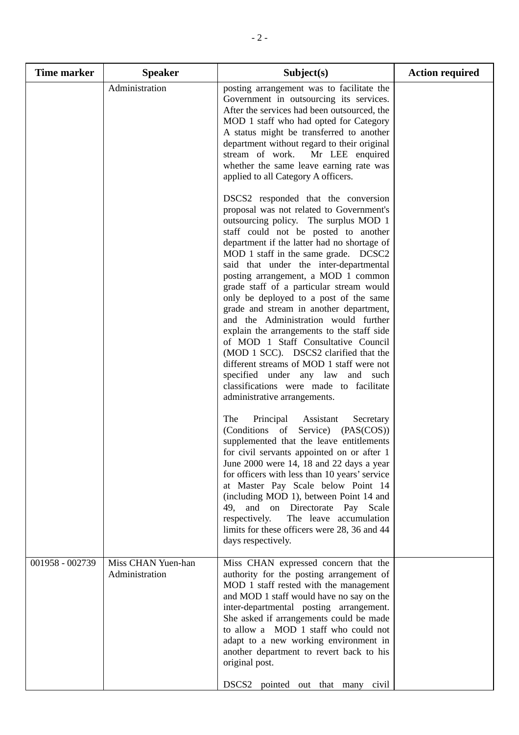| Time marker     | <b>Speaker</b>                       | Subject(s)                                                                                                                                                                                                                                                                                                                                                                                                                                                                                                                                                                                                                                                                                                                                                                  | <b>Action required</b> |
|-----------------|--------------------------------------|-----------------------------------------------------------------------------------------------------------------------------------------------------------------------------------------------------------------------------------------------------------------------------------------------------------------------------------------------------------------------------------------------------------------------------------------------------------------------------------------------------------------------------------------------------------------------------------------------------------------------------------------------------------------------------------------------------------------------------------------------------------------------------|------------------------|
|                 | Administration                       | posting arrangement was to facilitate the<br>Government in outsourcing its services.<br>After the services had been outsourced, the<br>MOD 1 staff who had opted for Category<br>A status might be transferred to another<br>department without regard to their original<br>stream of work.<br>Mr LEE enquired<br>whether the same leave earning rate was<br>applied to all Category A officers.                                                                                                                                                                                                                                                                                                                                                                            |                        |
|                 |                                      | DSCS2 responded that the conversion<br>proposal was not related to Government's<br>outsourcing policy. The surplus MOD 1<br>staff could not be posted to another<br>department if the latter had no shortage of<br>MOD 1 staff in the same grade. DCSC2<br>said that under the inter-departmental<br>posting arrangement, a MOD 1 common<br>grade staff of a particular stream would<br>only be deployed to a post of the same<br>grade and stream in another department,<br>and the Administration would further<br>explain the arrangements to the staff side<br>of MOD 1 Staff Consultative Council<br>(MOD 1 SCC). DSCS2 clarified that the<br>different streams of MOD 1 staff were not<br>specified under any law and such<br>classifications were made to facilitate |                        |
|                 |                                      | administrative arrangements.<br>The<br>Principal Assistant<br>Secretary<br>(Conditions of<br>Service) (PAS(COS))<br>supplemented that the leave entitlements<br>for civil servants appointed on or after 1<br>June 2000 were 14, 18 and 22 days a year<br>for officers with less than 10 years' service<br>at Master Pay Scale below Point 14<br>(including MOD 1), between Point 14 and<br>49, and on Directorate Pay<br>Scale<br>respectively.<br>The leave accumulation<br>limits for these officers were 28, 36 and 44<br>days respectively.                                                                                                                                                                                                                            |                        |
| 001958 - 002739 | Miss CHAN Yuen-han<br>Administration | Miss CHAN expressed concern that the<br>authority for the posting arrangement of<br>MOD 1 staff rested with the management<br>and MOD 1 staff would have no say on the<br>inter-departmental posting arrangement.<br>She asked if arrangements could be made<br>to allow a MOD 1 staff who could not<br>adapt to a new working environment in<br>another department to revert back to his<br>original post.<br>DSCS2 pointed out that many civil                                                                                                                                                                                                                                                                                                                            |                        |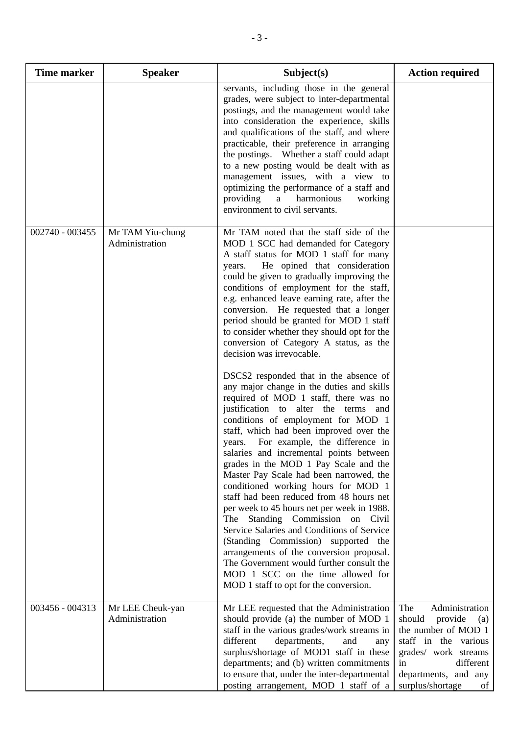| Time marker     | <b>Speaker</b>                     | Subject(s)                                                                                                                                                                                                                                                                                                                                                                                                                                                                                                                                                                                                                                                                                                                                                                                                                                                                                                                                                                                                                                                                                                                                                                                                                                                                                                                                                                                      | <b>Action required</b>                                                                                                                                                                        |
|-----------------|------------------------------------|-------------------------------------------------------------------------------------------------------------------------------------------------------------------------------------------------------------------------------------------------------------------------------------------------------------------------------------------------------------------------------------------------------------------------------------------------------------------------------------------------------------------------------------------------------------------------------------------------------------------------------------------------------------------------------------------------------------------------------------------------------------------------------------------------------------------------------------------------------------------------------------------------------------------------------------------------------------------------------------------------------------------------------------------------------------------------------------------------------------------------------------------------------------------------------------------------------------------------------------------------------------------------------------------------------------------------------------------------------------------------------------------------|-----------------------------------------------------------------------------------------------------------------------------------------------------------------------------------------------|
|                 |                                    | servants, including those in the general<br>grades, were subject to inter-departmental<br>postings, and the management would take<br>into consideration the experience, skills<br>and qualifications of the staff, and where<br>practicable, their preference in arranging<br>the postings. Whether a staff could adapt<br>to a new posting would be dealt with as<br>management issues, with a view to<br>optimizing the performance of a staff and<br>providing<br>a<br>harmonious<br>working<br>environment to civil servants.                                                                                                                                                                                                                                                                                                                                                                                                                                                                                                                                                                                                                                                                                                                                                                                                                                                               |                                                                                                                                                                                               |
| 002740 - 003455 | Mr TAM Yiu-chung<br>Administration | Mr TAM noted that the staff side of the<br>MOD 1 SCC had demanded for Category<br>A staff status for MOD 1 staff for many<br>He opined that consideration<br>years.<br>could be given to gradually improving the<br>conditions of employment for the staff,<br>e.g. enhanced leave earning rate, after the<br>conversion. He requested that a longer<br>period should be granted for MOD 1 staff<br>to consider whether they should opt for the<br>conversion of Category A status, as the<br>decision was irrevocable.<br>DSCS2 responded that in the absence of<br>any major change in the duties and skills<br>required of MOD 1 staff, there was no<br>justification to alter the terms<br>and<br>conditions of employment for MOD 1<br>staff, which had been improved over the<br>For example, the difference in<br>years.<br>salaries and incremental points between<br>grades in the MOD 1 Pay Scale and the<br>Master Pay Scale had been narrowed, the<br>conditioned working hours for MOD 1<br>staff had been reduced from 48 hours net<br>per week to 45 hours net per week in 1988.<br>The Standing Commission on Civil<br>Service Salaries and Conditions of Service<br>(Standing Commission) supported the<br>arrangements of the conversion proposal.<br>The Government would further consult the<br>MOD 1 SCC on the time allowed for<br>MOD 1 staff to opt for the conversion. |                                                                                                                                                                                               |
| 003456 - 004313 | Mr LEE Cheuk-yan<br>Administration | Mr LEE requested that the Administration<br>should provide (a) the number of MOD 1<br>staff in the various grades/work streams in<br>different<br>departments,<br>and<br>any<br>surplus/shortage of MOD1 staff in these<br>departments; and (b) written commitments<br>to ensure that, under the inter-departmental<br>posting arrangement, MOD 1 staff of a                                                                                                                                                                                                                                                                                                                                                                                                                                                                                                                                                                                                                                                                                                                                                                                                                                                                                                                                                                                                                                    | Administration<br>The<br>should<br>provide<br>(a)<br>the number of MOD 1<br>staff in the various<br>grades/ work streams<br>different<br>in<br>departments, and any<br>surplus/shortage<br>of |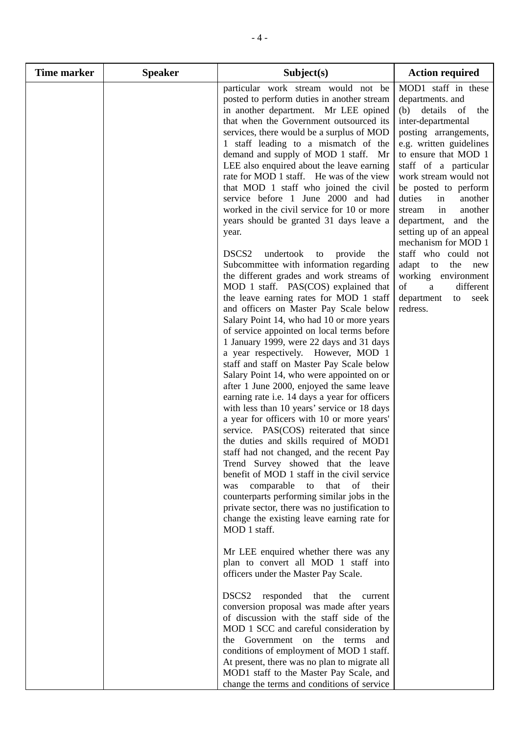| <b>Time marker</b> | <b>Speaker</b> | Subject(s)                                                                                                                                                                                                                                                                                                                                                                                                                                                                                                                                                                                                                                                                                                                                                                                                                                                                                                                                                                                                                                                                                                                                                                                                                                                                                                                                                                                                      | <b>Action required</b>                                                                                                                                                                                                                                                                                                                                    |
|--------------------|----------------|-----------------------------------------------------------------------------------------------------------------------------------------------------------------------------------------------------------------------------------------------------------------------------------------------------------------------------------------------------------------------------------------------------------------------------------------------------------------------------------------------------------------------------------------------------------------------------------------------------------------------------------------------------------------------------------------------------------------------------------------------------------------------------------------------------------------------------------------------------------------------------------------------------------------------------------------------------------------------------------------------------------------------------------------------------------------------------------------------------------------------------------------------------------------------------------------------------------------------------------------------------------------------------------------------------------------------------------------------------------------------------------------------------------------|-----------------------------------------------------------------------------------------------------------------------------------------------------------------------------------------------------------------------------------------------------------------------------------------------------------------------------------------------------------|
|                    |                | particular work stream would not be<br>posted to perform duties in another stream<br>in another department. Mr LEE opined<br>that when the Government outsourced its<br>services, there would be a surplus of MOD<br>1 staff leading to a mismatch of the<br>demand and supply of MOD 1 staff. Mr<br>LEE also enquired about the leave earning<br>rate for MOD 1 staff. He was of the view<br>that MOD 1 staff who joined the civil<br>service before 1 June 2000 and had<br>worked in the civil service for 10 or more<br>years should be granted 31 days leave a<br>year.                                                                                                                                                                                                                                                                                                                                                                                                                                                                                                                                                                                                                                                                                                                                                                                                                                     | MOD1 staff in these<br>departments. and<br>(b) details<br>- of<br>the<br>inter-departmental<br>posting arrangements,<br>e.g. written guidelines<br>to ensure that MOD 1<br>staff of a particular<br>work stream would not<br>be posted to perform<br>duties<br>in<br>another<br>in<br>another<br>stream<br>department, and the<br>setting up of an appeal |
|                    |                | DSCS <sub>2</sub><br>undertook<br>provide<br>to<br>the<br>Subcommittee with information regarding<br>the different grades and work streams of<br>MOD 1 staff. PAS(COS) explained that<br>the leave earning rates for MOD 1 staff<br>and officers on Master Pay Scale below<br>Salary Point 14, who had 10 or more years<br>of service appointed on local terms before<br>1 January 1999, were 22 days and 31 days<br>a year respectively. However, MOD 1<br>staff and staff on Master Pay Scale below<br>Salary Point 14, who were appointed on or<br>after 1 June 2000, enjoyed the same leave<br>earning rate i.e. 14 days a year for officers<br>with less than 10 years' service or 18 days<br>a year for officers with 10 or more years'<br>service. PAS(COS) reiterated that since<br>the duties and skills required of MOD1<br>staff had not changed, and the recent Pay<br>Trend Survey showed that the leave<br>benefit of MOD 1 staff in the civil service<br>comparable<br>that of their<br>to<br>was<br>counterparts performing similar jobs in the<br>private sector, there was no justification to<br>change the existing leave earning rate for<br>MOD 1 staff.<br>Mr LEE enquired whether there was any<br>plan to convert all MOD 1 staff into<br>officers under the Master Pay Scale.<br>DSCS <sub>2</sub><br>responded<br>that<br>the<br>current<br>conversion proposal was made after years | mechanism for MOD 1<br>staff who could not<br>adapt<br>to<br>the<br>new<br>working environment<br>different<br>of<br>a<br>department<br>seek<br>to<br>redress.                                                                                                                                                                                            |
|                    |                | of discussion with the staff side of the<br>MOD 1 SCC and careful consideration by<br>the Government on the terms<br>and<br>conditions of employment of MOD 1 staff.<br>At present, there was no plan to migrate all<br>MOD1 staff to the Master Pay Scale, and<br>change the terms and conditions of service                                                                                                                                                                                                                                                                                                                                                                                                                                                                                                                                                                                                                                                                                                                                                                                                                                                                                                                                                                                                                                                                                                   |                                                                                                                                                                                                                                                                                                                                                           |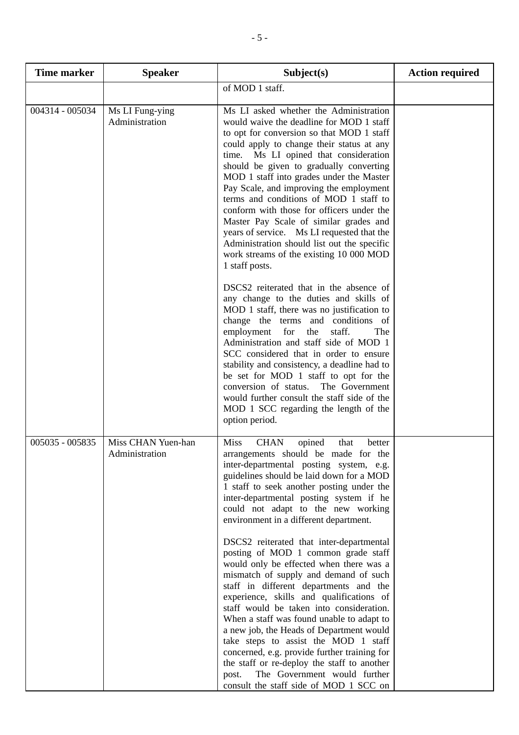| <b>Time marker</b> | <b>Speaker</b>                       | Subject(s)                                                                                                                                                                                                                                                                                                                                                                                                                                                                                                                                                                                                                                                                                                                                                                                                                                                                                                                                                                               | <b>Action required</b> |
|--------------------|--------------------------------------|------------------------------------------------------------------------------------------------------------------------------------------------------------------------------------------------------------------------------------------------------------------------------------------------------------------------------------------------------------------------------------------------------------------------------------------------------------------------------------------------------------------------------------------------------------------------------------------------------------------------------------------------------------------------------------------------------------------------------------------------------------------------------------------------------------------------------------------------------------------------------------------------------------------------------------------------------------------------------------------|------------------------|
|                    |                                      | of MOD 1 staff.                                                                                                                                                                                                                                                                                                                                                                                                                                                                                                                                                                                                                                                                                                                                                                                                                                                                                                                                                                          |                        |
| 004314 - 005034    | Ms LI Fung-ying<br>Administration    | Ms LI asked whether the Administration<br>would waive the deadline for MOD 1 staff<br>to opt for conversion so that MOD 1 staff<br>could apply to change their status at any<br>time. Ms LI opined that consideration<br>should be given to gradually converting<br>MOD 1 staff into grades under the Master<br>Pay Scale, and improving the employment<br>terms and conditions of MOD 1 staff to<br>conform with those for officers under the<br>Master Pay Scale of similar grades and<br>years of service. Ms LI requested that the<br>Administration should list out the specific<br>work streams of the existing 10 000 MOD<br>1 staff posts.                                                                                                                                                                                                                                                                                                                                       |                        |
|                    |                                      | DSCS2 reiterated that in the absence of<br>any change to the duties and skills of<br>MOD 1 staff, there was no justification to<br>change the terms and conditions of<br>employment for<br>the<br>staff.<br>The<br>Administration and staff side of MOD 1<br>SCC considered that in order to ensure<br>stability and consistency, a deadline had to<br>be set for MOD 1 staff to opt for the<br>conversion of status. The Government<br>would further consult the staff side of the<br>MOD 1 SCC regarding the length of the<br>option period.                                                                                                                                                                                                                                                                                                                                                                                                                                           |                        |
| 005035 - 005835    | Miss CHAN Yuen-han<br>Administration | <b>Miss</b><br><b>CHAN</b><br>opined<br>that<br>better<br>arrangements should be made for the<br>inter-departmental posting system, e.g.<br>guidelines should be laid down for a MOD<br>1 staff to seek another posting under the<br>inter-departmental posting system if he<br>could not adapt to the new working<br>environment in a different department.<br>DSCS2 reiterated that inter-departmental<br>posting of MOD 1 common grade staff<br>would only be effected when there was a<br>mismatch of supply and demand of such<br>staff in different departments and the<br>experience, skills and qualifications of<br>staff would be taken into consideration.<br>When a staff was found unable to adapt to<br>a new job, the Heads of Department would<br>take steps to assist the MOD 1 staff<br>concerned, e.g. provide further training for<br>the staff or re-deploy the staff to another<br>The Government would further<br>post.<br>consult the staff side of MOD 1 SCC on |                        |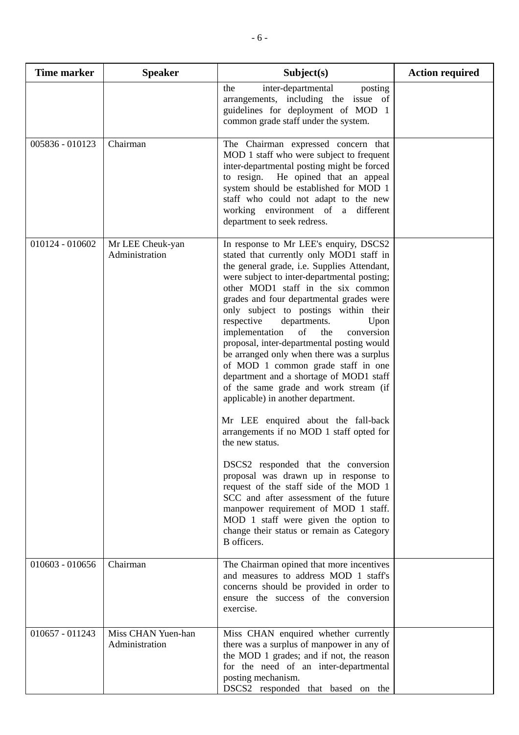| <b>Time marker</b> | <b>Speaker</b>                       | Subject(s)                                                                                                                                                                                                                                                                                                                                                                                                                                                                                                                                                                                                                                                                                                                                                                                                                                                                                                                                                                                                                                                                     | <b>Action required</b> |
|--------------------|--------------------------------------|--------------------------------------------------------------------------------------------------------------------------------------------------------------------------------------------------------------------------------------------------------------------------------------------------------------------------------------------------------------------------------------------------------------------------------------------------------------------------------------------------------------------------------------------------------------------------------------------------------------------------------------------------------------------------------------------------------------------------------------------------------------------------------------------------------------------------------------------------------------------------------------------------------------------------------------------------------------------------------------------------------------------------------------------------------------------------------|------------------------|
|                    |                                      | inter-departmental<br>the<br>posting<br>arrangements, including the issue of<br>guidelines for deployment of MOD 1<br>common grade staff under the system.                                                                                                                                                                                                                                                                                                                                                                                                                                                                                                                                                                                                                                                                                                                                                                                                                                                                                                                     |                        |
| 005836 - 010123    | Chairman                             | The Chairman expressed concern that<br>MOD 1 staff who were subject to frequent<br>inter-departmental posting might be forced<br>He opined that an appeal<br>to resign.<br>system should be established for MOD 1<br>staff who could not adapt to the new<br>working environment of a<br>different<br>department to seek redress.                                                                                                                                                                                                                                                                                                                                                                                                                                                                                                                                                                                                                                                                                                                                              |                        |
| 010124 - 010602    | Mr LEE Cheuk-yan<br>Administration   | In response to Mr LEE's enquiry, DSCS2<br>stated that currently only MOD1 staff in<br>the general grade, i.e. Supplies Attendant,<br>were subject to inter-departmental posting;<br>other MOD1 staff in the six common<br>grades and four departmental grades were<br>only subject to postings within their<br>respective<br>departments.<br>Upon<br>implementation<br>of<br>the<br>conversion<br>proposal, inter-departmental posting would<br>be arranged only when there was a surplus<br>of MOD 1 common grade staff in one<br>department and a shortage of MOD1 staff<br>of the same grade and work stream (if<br>applicable) in another department.<br>Mr LEE enquired about the fall-back<br>arrangements if no MOD 1 staff opted for<br>the new status.<br>DSCS2 responded that the conversion<br>proposal was drawn up in response to<br>request of the staff side of the MOD 1<br>SCC and after assessment of the future<br>manpower requirement of MOD 1 staff.<br>MOD 1 staff were given the option to<br>change their status or remain as Category<br>B officers. |                        |
| $010603 - 010656$  | Chairman                             | The Chairman opined that more incentives<br>and measures to address MOD 1 staff's<br>concerns should be provided in order to<br>ensure the success of the conversion<br>exercise.                                                                                                                                                                                                                                                                                                                                                                                                                                                                                                                                                                                                                                                                                                                                                                                                                                                                                              |                        |
| 010657 - 011243    | Miss CHAN Yuen-han<br>Administration | Miss CHAN enquired whether currently<br>there was a surplus of manpower in any of<br>the MOD 1 grades; and if not, the reason<br>for the need of an inter-departmental<br>posting mechanism.<br>DSCS2 responded that based on the                                                                                                                                                                                                                                                                                                                                                                                                                                                                                                                                                                                                                                                                                                                                                                                                                                              |                        |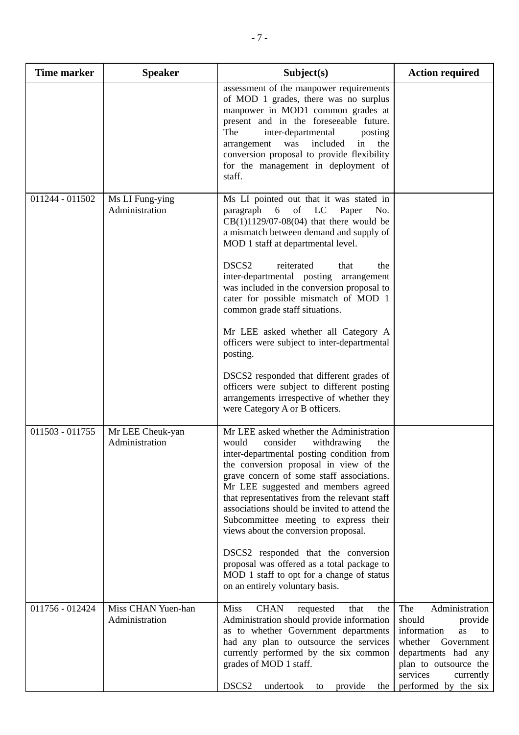| <b>Time marker</b> | <b>Speaker</b>                       | Subject(s)                                                                                                                                                                                                                                                                                                                                                                                                                                                                                                                                                                                                                                                                                                                    | <b>Action required</b>                                                                                                                                                                                 |
|--------------------|--------------------------------------|-------------------------------------------------------------------------------------------------------------------------------------------------------------------------------------------------------------------------------------------------------------------------------------------------------------------------------------------------------------------------------------------------------------------------------------------------------------------------------------------------------------------------------------------------------------------------------------------------------------------------------------------------------------------------------------------------------------------------------|--------------------------------------------------------------------------------------------------------------------------------------------------------------------------------------------------------|
|                    |                                      | assessment of the manpower requirements<br>of MOD 1 grades, there was no surplus<br>manpower in MOD1 common grades at<br>present and in the foreseeable future.<br>The<br>inter-departmental<br>posting<br>included<br>arrangement<br>was<br>in<br>the<br>conversion proposal to provide flexibility<br>for the management in deployment of<br>staff.                                                                                                                                                                                                                                                                                                                                                                         |                                                                                                                                                                                                        |
| 011244 - 011502    | Ms LI Fung-ying<br>Administration    | Ms LI pointed out that it was stated in<br>of LC<br>paragraph<br>$6\overline{6}$<br>Paper<br>No.<br>$CB(1)1129/07-08(04)$ that there would be<br>a mismatch between demand and supply of<br>MOD 1 staff at departmental level.<br>reiterated<br>DSCS <sub>2</sub><br>that<br>the<br>inter-departmental posting arrangement<br>was included in the conversion proposal to<br>cater for possible mismatch of MOD 1<br>common grade staff situations.<br>Mr LEE asked whether all Category A<br>officers were subject to inter-departmental<br>posting.<br>DSCS2 responded that different grades of<br>officers were subject to different posting<br>arrangements irrespective of whether they<br>were Category A or B officers. |                                                                                                                                                                                                        |
| 011503 - 011755    | Mr LEE Cheuk-yan<br>Administration   | Mr LEE asked whether the Administration<br>would<br>consider<br>withdrawing<br>the<br>inter-departmental posting condition from<br>the conversion proposal in view of the<br>grave concern of some staff associations.<br>Mr LEE suggested and members agreed<br>that representatives from the relevant staff<br>associations should be invited to attend the<br>Subcommittee meeting to express their<br>views about the conversion proposal.<br>DSCS2 responded that the conversion<br>proposal was offered as a total package to<br>MOD 1 staff to opt for a change of status<br>on an entirely voluntary basis.                                                                                                           |                                                                                                                                                                                                        |
| 011756 - 012424    | Miss CHAN Yuen-han<br>Administration | <b>Miss</b><br><b>CHAN</b><br>the<br>requested<br>that<br>Administration should provide information<br>as to whether Government departments<br>had any plan to outsource the services<br>currently performed by the six common<br>grades of MOD 1 staff.<br>DSCS2<br>undertook to provide<br>the                                                                                                                                                                                                                                                                                                                                                                                                                              | Administration<br>The<br>should<br>provide<br>information<br><b>as</b><br>to<br>whether<br>Government<br>departments had any<br>plan to outsource the<br>services<br>currently<br>performed by the six |